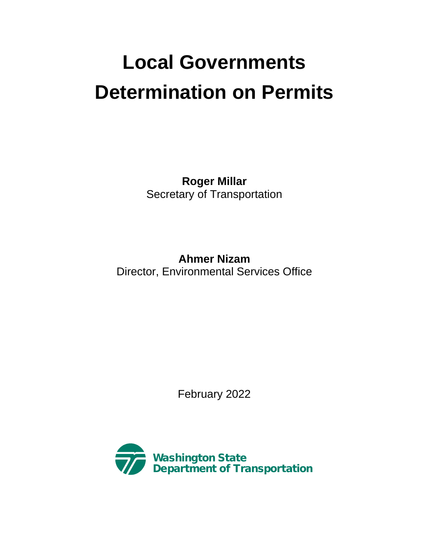## **Local Governments Determination on Permits**

**Roger Millar** Secretary of Transportation

**Ahmer Nizam** Director, Environmental Services Office

February 2022

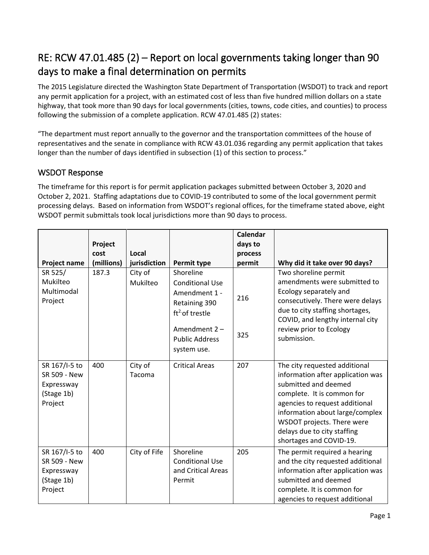## RE: RCW 47.01.485 (2) – Report on local governments taking longer than 90 days to make a final determination on permits

The 2015 Legislature directed the Washington State Department of Transportation (WSDOT) to track and report any permit application for a project, with an estimated cost of less than five hundred million dollars on a state highway, that took more than 90 days for local governments (cities, towns, code cities, and counties) to process following the submission of a complete application. RCW 47.01.485 (2) states:

"The department must report annually to the governor and the transportation committees of the house of representatives and the senate in compliance with RCW 43.01.036 regarding any permit application that takes longer than the number of days identified in subsection (1) of this section to process."

## WSDOT Response

The timeframe for this report is for permit application packages submitted between October 3, 2020 and October 2, 2021. Staffing adaptations due to COVID-19 contributed to some of the local government permit processing delays. Based on information from WSDOT's regional offices, for the timeframe stated above, eight WSDOT permit submittals took local jurisdictions more than 90 days to process.

| Project name                                                         | Project<br>cost<br>(millions) | Local<br>jurisdiction | Permit type                                                                                                                                        | <b>Calendar</b><br>days to<br>process<br>permit | Why did it take over 90 days?                                                                                                                                                                                                                                                         |
|----------------------------------------------------------------------|-------------------------------|-----------------------|----------------------------------------------------------------------------------------------------------------------------------------------------|-------------------------------------------------|---------------------------------------------------------------------------------------------------------------------------------------------------------------------------------------------------------------------------------------------------------------------------------------|
| SR 525/<br>Mukilteo<br>Multimodal<br>Project                         | 187.3                         | City of<br>Mukilteo   | Shoreline<br><b>Conditional Use</b><br>Amendment 1 -<br>Retaining 390<br>$ft^2$ of trestle<br>Amendment 2-<br><b>Public Address</b><br>system use. | 216<br>325                                      | Two shoreline permit<br>amendments were submitted to<br>Ecology separately and<br>consecutively. There were delays<br>due to city staffing shortages,<br>COVID, and lengthy internal city<br>review prior to Ecology<br>submission.                                                   |
| SR 167/I-5 to<br>SR 509 - New<br>Expressway<br>(Stage 1b)<br>Project | 400                           | City of<br>Tacoma     | <b>Critical Areas</b>                                                                                                                              | 207                                             | The city requested additional<br>information after application was<br>submitted and deemed<br>complete. It is common for<br>agencies to request additional<br>information about large/complex<br>WSDOT projects. There were<br>delays due to city staffing<br>shortages and COVID-19. |
| SR 167/I-5 to<br>SR 509 - New<br>Expressway<br>(Stage 1b)<br>Project | 400                           | City of Fife          | Shoreline<br><b>Conditional Use</b><br>and Critical Areas<br>Permit                                                                                | 205                                             | The permit required a hearing<br>and the city requested additional<br>information after application was<br>submitted and deemed<br>complete. It is common for<br>agencies to request additional                                                                                       |